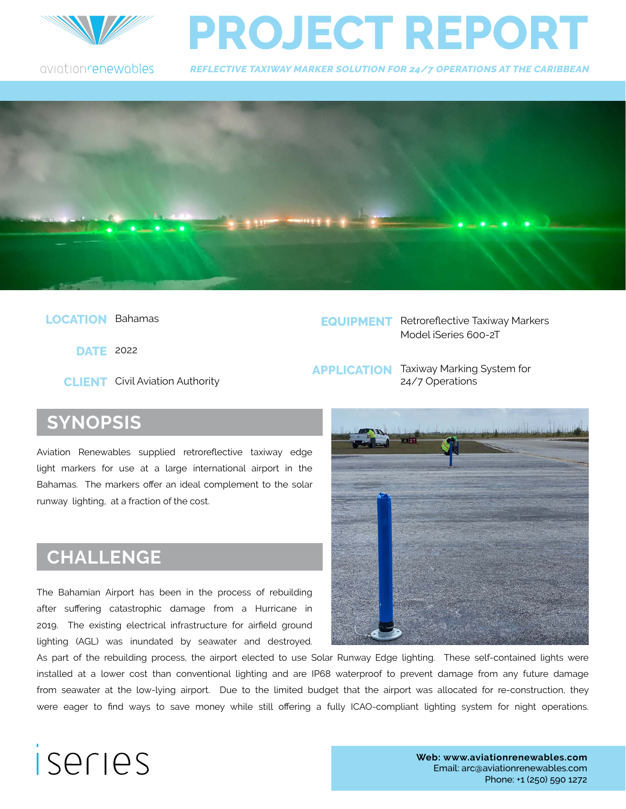

## **PROJECT REPORT**

aviationrenewables

*REFLECTIVE TAXIWAY MARKER SOLUTION FOR 24/7 OPERATIONS AT THE CARIBBEAN*



 **LOCATION** Bahamas

 **DATE** 2022

**CLIENT** Civil Aviation Authority

**EQUIPMENT** Retroreflective Taxiway Markers Model iSeries 600-2T

**APPLICATION** Taxiway Marking System for 24/7 Operations

#### **SYNOPSIS**

Aviation Renewables supplied retrorefective taxiway edge light markers for use at a large international airport in the Bahamas. The markers offer an ideal complement to the solar runway lighting, at a fraction of the cost.

#### **CHALLENGE**

The Bahamian Airport has been in the process of rebuilding after sufering catastrophic damage from a Hurricane in 2019. The existing electrical infrastructure for airfeld ground lighting (AGL) was inundated by seawater and destroyed.



As part of the rebuilding process, the airport elected to use Solar Runway Edge lighting. These self-contained lights were installed at a lower cost than conventional lighting and are IP68 waterproof to prevent damage from any future damage from seawater at the low-lying airport. Due to the limited budget that the airport was allocated for re-construction, they were eager to fnd ways to save money while still ofering a fully ICAO-compliant lighting system for night operations.